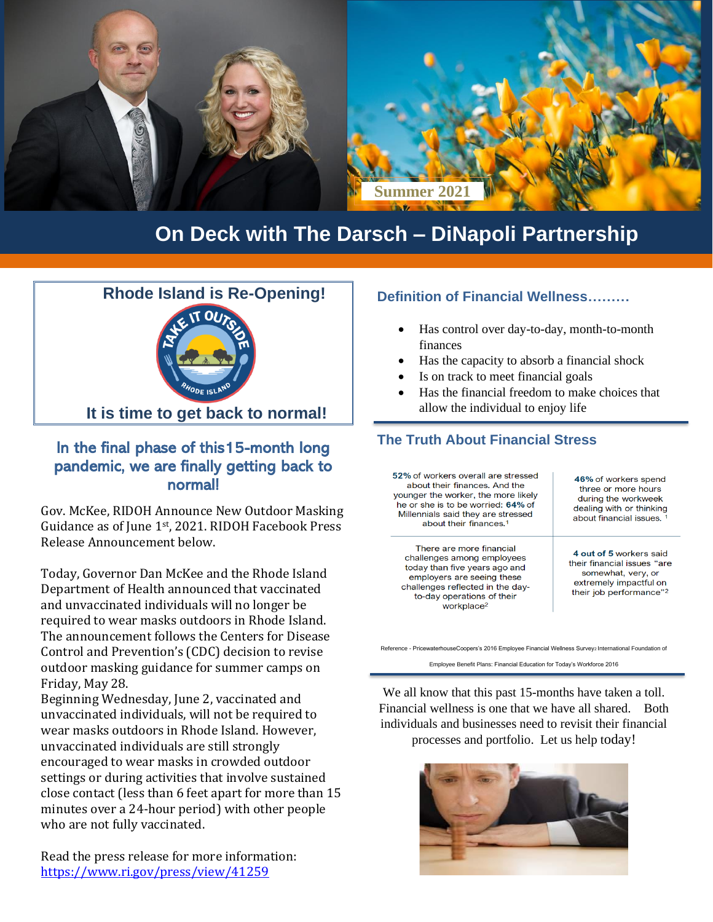

## **On Deck with The Darsch – DiNapoli Partnership**



### In the final phase of this15-month long pandemic, we are finally getting back to normal!

Gov. McKee, RIDOH Announce New Outdoor Masking Guidance as of June 1st, 2021. RIDOH Facebook Press Release Announcement below.

Today, Governor Dan McKee and the Rhode Island Department of Health announced that vaccinated and unvaccinated individuals will no longer be required to wear masks outdoors in Rhode Island. The announcement follows the Centers for Disease Control and Prevention's (CDC) decision to revise outdoor masking guidance for summer camps on Friday, May 28.

Beginning Wednesday, June 2, vaccinated and unvaccinated individuals, will not be required to wear masks outdoors in Rhode Island. However, unvaccinated individuals are still strongly encouraged to wear masks in crowded outdoor settings or during activities that involve sustained close contact (less than 6 feet apart for more than 15 minutes over a 24-hour period) with other people who are not fully vaccinated.

Read the press release for more information: <https://www.ri.gov/press/view/41259>

#### **Definition of Financial Wellness………**

- Has control over day-to-day, month-to-month finances
- Has the capacity to absorb a financial shock
- Is on track to meet financial goals
- Has the financial freedom to make choices that allow the individual to enjoy life

### **The Truth About Financial Stress**

52% of workers overall are stressed 46% of workers spend about their finances. And the three or more hours younger the worker, the more likely during the workweek he or she is to be worried: 64% of dealing with or thinking Millennials said they are stressed about financial issues. about their finances.<sup>1</sup> There are more financial 4 out of 5 workers said challenges among employees their financial issues "are today than five years ago and somewhat, very, or employers are seeing these extremely impactful on challenges reflected in the daytheir job performance"<sup>2</sup> to-day operations of their workplace $2$ 

Reference - PricewaterhouseCoopers's 2016 Employee Financial Wellness Survey2 International Foundation of

Employee Benefit Plans: Financial Education for Today's Workforce 2016

We all know that this past 15-months have taken a toll. Financial wellness is one that we have all shared. Both individuals and businesses need to revisit their financial processes and portfolio. Let us help today!